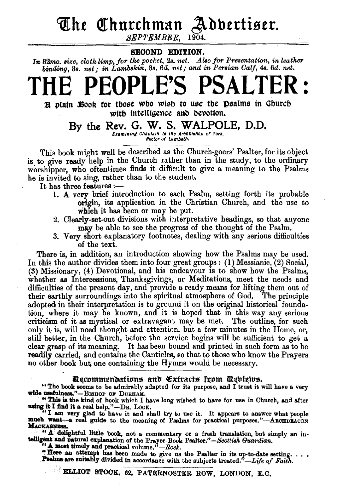# **The Churchman Adbertiser.**<br>*SEPTEMBER* 1904.

SEPTEMBER.

### SECOND EDITION.

In 32mo. size, cloth limp, for the pocket, 2s. net. Also for Presentation, in leather *binding, 8s. net; in Lambskin, 3s. 6d. net; and in Persian Calf, 4s. 6d. net.* 

# THE **PEOPLE'S** PSALTER :

 $\mathbb R$  plain  $\mathbb H$ ook for tbose wbo wisb to use tbe  $\mathbb D$ salms in Cburcb with intelligence and devotion.

By the Rev. G. W. S. WALPOLE, D.D. Examining Chaplain to the Archbishop of York,<br>Rector of Lambeth.

This book might well be described as the Church-goers' Psalter, for.its object is to give ready help in the Church rather than in the study, to the ordinary worshipper, who oftentimes finds it difficult to give a meaning to the Psalms he is invited to sing, rather than to the student.

- It has three features :-
	- 1. A very brief introduction to each Psalm, setting forth its probable origin, its application in the Christian Church, and the use to which it has been or may be put.
	- 2. Clearly-set-out divisions with interpretative headings, so that anyone may be able to see the progress of the thought of the Psalm.
	- 3. Very short explanatory footnotes, dealing with any serious difficulties e£ the text.

There is, in addition, an introduction showing how the Psalms may be used. In this the author divides them into four great groups: (1) Messianic, (2) Social, (3) Missionary, (4) Devotional, and his endeavour is to show how the Psalms, whether as Intercessions, Thanksgivings, or Meditations, meet the needs and difficulties of the present day, and provide a ready means for lifting them out of their earthly surroundings into the spiritual atmosphere of God. The principle their earthly surroundings into the spiritual atmosphere of God. adopted in their interpretation is to ground it on the original historical foundation, where it may be known, and it is hoped that in this way any serious criticism of it as mystical or extravagant may be met. The outline, for such only it is, will need thought and attention, but a few minutes in the Home, or, still better, in the Church, before the service begins will be sufficient to get a clear grasp of its meaning. It has been bound and printed in such form as to be readily carried, and contains the Canticles, so that to those who know the Prayers no other book but one containing the Hymns would be necessary.

#### Recommendations and Extracts from Rebiews.

" The book seems to be admirably adapted for its purpose, and I trust it will have a very wide usefulness."-BISHOP OF DURHAM.

"This is the kind of book which I have long wished to have for use in Church, and after using it I find it a real help." -DR. LOOK.

"I am very glad to have it and shall try to *me* it. It appears to answer what people much want--a real guide to the meaning of Psalms for practical purposes."---AROHDEACON MACKARNESS.

· *''A.'* .delightful little book, not a commentary or a fresh translation, but simply an intelligent and natural explanation of the Prayer-Book Psalter."-Scottish Guardian.

A moat timely and practical volume,"-*Rock.* 

"Here an attempt has been made to give us the Psalter in its up-to-date setting. . . . Psalms are suitably divided in accordance with the subjects treated."-Life of Faith.

ELLIOT STOCK, 62, PATERNOSTER ROW, LONDON, E.C,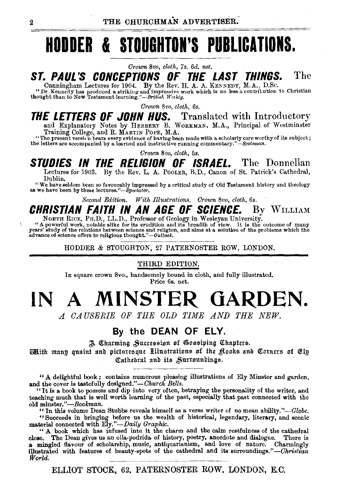## **HODDER & STOUGHTON'S PUBLICATIONS.**

#### *Crown 8vo, cloth, 7s. 6d. net.*

### **ST. PAUL'S CONCEPTIONS OF THE . LAST THINGS.** The

Cunningham Lectures for 1904. By the Rev. H. A. A. KENNEDY, M.A., D.Sc.<br>"Dr. Kennedy has produced a striking and impressive work which is no less a contribution to Christian<br>thought than to New Testament learning."-British

*Crown Svo, cloth, 6s.* 

## **THE LETTERS OF JOHN NUS.** Translated with Introductory and Explanatory Notes by HERBERT B. WoRKMAN, M.A., Principal of Westminster

Training College, and R. MARTIN POPE, M.A.<br>"The present version bears every evidence of having been made with a scholarly care worthy of its subject;<br>the letters are accompanied by a learned and instructive running comment

*Crown Svo, cloth,* 5s.

### **STUDIES IN THE RELIGION OF ISRAEL.** The Donnellan

Lectures for 1903. By the Rev. L. A. PooLER, B.D., Canon of St. Patrick's Cathedral, Dublin.

"We have seldom been so favourably impressed by a critical study of Old Testament history and theology as we have been by these lectures. *"-Spectator.* 

*Second Edition. With fllustrations. Crown* Sw, *cloth, 6s.* 

### **CHRISTIAN FAITH IN AN AGE OF SCIENCE.** By WILLIAM

NORTH RICE, PH.D., LL.D., Professor of Geology in Wesleyan University.<br>"A powerful work, notable alike for its erudition and its breadth of view. It is the outcome of many<br>years' study of the relations between science and

HODDER & STOUGHTON, 27 PATERNOSTER ROW, LONDON.

#### THIRD EDITION.

In square crown 8vo., handsomely bound in cloth, and fully illustrated. Price 6s. net.

## **IN A MINSTER GARDEN.**

*A CAUSERIE OF THE OLD TIME AND THE NEW.* 

### By the **DEAN OF ELY.**

A Charming Succession of Gossiping Chapters.

**Mith many quaint and picturesque Illustrations of the Hooks and Corners of Ely** Cathedral and its Surroundings.

"A delightful book; contains numerous pleasing illustrations of Ely Minster and garden, and the cover is tastefully designed."-Church Bells.

" It is a book to possess and dip into very often, betraying the personality of the writer, and teaching much that is well worth learning of the past, especially that past connected with the old *minster."-Bookman.* 

"In this volume Dean Stubbs reveals himself as a verse writer of no mean ability." $-dlobe$ .

''Succeeds in bringing before us the wealth of historical, legendary, literary, and scenic material connected with *Ely."-Daily Graphic.* 

" A book which has infused into it the charm and the calm restfulness of the cathedral close. The Dean gives us an olla-podrida of history, poetry, anecdote and dialogue. There is a mingled flavour of scholarship, music, antiquarianism, and love of nature. Charmingly illustrated with features of beauty-spots of the cathedral and its surroundings."-Christian World. *World.* ---~-·----~------·--~~-

ELLIOT STOCK, 62, PATERNOSTER ROW, LONDON, E.C.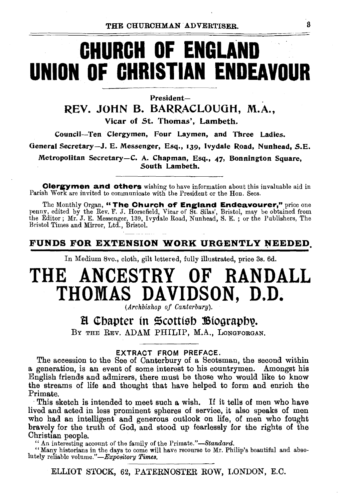# **CHURCH OF ENGLAND UNION OF CHRISTIAN ENDEAVOUR**

President-

REV. JOHN B. BARRACLOUGH, M.A.,

Vicar of St. Thomas', Lambeth.

Council--Ten Clergymen, Four Laymen, and Three Ladies.

General Secretary-J. E. Messenger, Esq., 139, Ivydale Road, Nunhead, S.E.

Metropolitan Secretary-C. A. Chapman, Esq., 47, Bonnington Square, .South Lambeth.

**Clergymen and others** wishing to have information about this invaluable aid in Parish Work are invited to communicate with the President or the Hon. Secs.

The Monthly Organ, "The Church of England Endeavourer," price one<br>penny, edited by the Rev. F. J. Horsefield, Vicar of St. Silas', Bristol, may be obtained from<br>the Editor; Mr. J. E. Messenger, 139, Ivydale Road, Nunhead, Bristol Times and Mirror, Ltd., Bristol.

### FUNDS FOR EXTENSION WORK URGENTLY NEEDED

In Medium 8vo., cloth, gilt lettered, fully illustrated, price 3s. 6d.

## **THE ANCESTRY OF RANDALL THOMAS DAVIDSON, D.D.**

*(Archbishop of Canterbury).* 

### B Chapter in Scottish Biography.

BY THE REV. ADAM PHILIP, M.A., LONGFORGAN,

### EXTRACT FROM PREFACE.

The accession to the See of Canterbury of a Scotsman, the second within a generation, is an event of some interest to his countrymen. Amongst his English friends and admirers, there must be those who would like to know the streams of life and thought that have helped to form and enrich the Primate.

This sketch is intended to meet such a wish. If it tells of men who have lived and acted in less prominent spheres of service, it also speaks of men who had an intelligent and generous outlook on life, of men who fought bravely for the truth of God, and stood up fearlessly for the rights of the Christian people.

"An interesting account of the family of the *Prirnate."-Standard.* 

"Many historians in the days to come will have recourse to Mr. Philip's beautiful and absolutely reliable *volume."-Expository Times.* 

ELLIOT STOCK, 62, PATERNOSTER ROW, LONDON, E.C.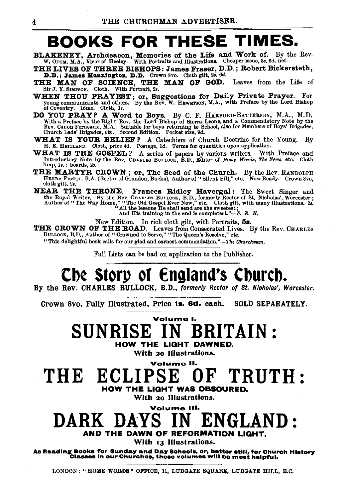### BOOKS FOR THESE TIMES.

- BLAKENEY, Archdeacon, Memories of the Life and Work of. By the Rev. W. ODOM, M.A., Vicar of Heeley. With Portraits and Illustrations. Cheaper issue, 3s. 6d. net.
- THE LIVES OF THREE BISHOPS: James Fraser, D. D.; Robert Bickersteth, D.D.; James Hannington, D.D. Crown 8vo. Cloth gilt, 2s. 6d.
- THE MAN OF SCIENCE, THE MAN OF GOD. Leaves from the Life of Sir J. Y. SIMPSON. Cloth. With Portrait, *2s.*
- WHEN THOU PRAYEST; or, Suggestions for Daily Private Prayer. For young communicants and others. By the Rev. W. HEWETSON, M.A., with Preface by the Lord Bishop of Coventry. 16mo. Cloth, 1s.
- DO YOU PRAY? A Word to Boys. By C. F. HARFORD-BATTERSBY, M.A., M.D.<br>With a Preface by the Right Rev. the Lord Bishop of Sierra Leone, and a Commendatory Note by the<br>Rev. Canon Ferneaux, M.A. Suitable for boys returning to
- WHAT IS YOUR BELIEF P A Catechism of Church Doctrine for the Young. By H. E. HEITLAND. Cloth, price 4tl. Postage, 1d. Terms for quantities upon application.
- WHAT IS THE GOSPEL ? A series of papers by various writers. With Preface and Introductory Note by the Rev. Charles Burrock, B.D., Editor of *Home Words*, The News, etc. Cloth limp, ls, ; boards, *2s.*
- THE MARTYR CROWN; or, The Seed of the Church. By the Rev. RANDOLPH HENRY PIUOTT, B.A. (Rector of Grandon, Bucks), Author of "Silent Bill," etc. Now Ready. Crown Svo, cloth gilt, *2s.*
- **NEAR THE THRONE. Frances Ridley Havergal:** The Sweet Singer and the Royal Writer. By the Rev. CHAR'.ES BULLOCK, B.D., formerly Rector of St. Nicholas', Worcester; Author of "The Way Home," "The Old Gospel Ever New," etc.

New Edition. In rich cloth gilt, with Portraits, 5s.<br>THE CROWN OF THE ROAD. Leaves from Consecrated Lives. By the Rev. CHARLES<br>BULLOCK, B.D., Author of "Crowned to Serve," "The Queen's Resolve," etc.

"This delightful book calls for our glad and earnest commendation. *"-The Churchman.* 

Full Lists can be had on application to the Publisher.

## Che Storp of England's Church.

By the Rev. CHARLES BULLOCK, B.D., *formerly Rector of St. Nioholas', Worcester.* 

Crown Svo, Fully Illustrated, Price 1s. &d. each. SOLD SEPARATELY.

Volume I. SUNRISE IN BRITAIN : HOW THE LIGHT DAWNED.

With 20 Illustrations.

Volume II.

THE ECLIPSE OF TRUTH: HOW THE LIGHT WAS OBSCURED.

With 20 Illustrations.

### Volume II DARK DAYS IN ENGLAND: AND THE DAWN OF REFORMATION LIGHT.

With 13 Illustrations.

As Reading Books for Sunday and Day Schools, or, better still, for Church History<br>Classes in our Churches, these volumes will be most helpful.

LONDON: "HOME WORDS" OFFICE, 11, LUDGATE SQUARE, LUDGATE HILL, E.C.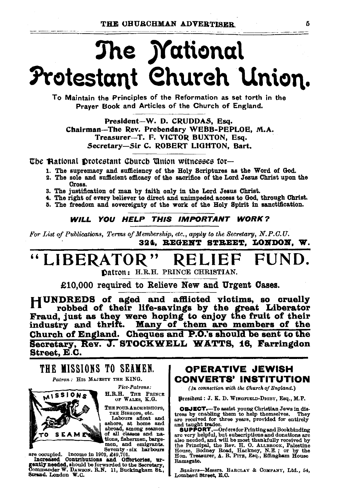# The *Mational* Protestant Church Union.

To Maintain the Principles of the Reformation as set torth in the Praver Book and Articles of the Church of England.

President-W. D. CRUDDAS. Esq. Chairman-The Rev. Prebendary WEBB-PEPLOE, M.A. Treasurer-T. F. VICTOR BUXTON, Esq. Secretary-Sir C. ROBERT LIGHTON, Bart,

The Aational Protestant Church Union witnesses for—

- 1. The supremacy and sufficiency of the Holy Scriptures as the Word of God.
- 2. The sole and sufficient efficacy of the sacrifice of the Lord Jesus Christ upon the Стояя.
- 3. The justification of man by faith only in the Lord Jesus Christ.
- 4. The right of every believer to direct and unimpeded access to God, through Christ.
- 5. The freedom and sovereignty of the work of the Holy Spirit in sanctification.

#### WILL YOU HELP THIS IMPORTANT WORK?

For List of Publications, Terms of Membership, etc., apply to the Secretary, N.P.C.U. 324. REGENT STREET. LONDON. W.

#### LIBERATOR" ΗI RELII

Datron: H.R.H. PRINCE CHRISTIAN.

£10.000 required to Relieve New and Urgent Cases.

HUNDREDS of aged and afflicted victims, so cruelly Il robbed of their life-savings by the great Liberator<br>Fraud, just as they were hoping to enjoy the fruit of their industry and thrift. Many of them are members of the Church of England. Cheques and P.O.'s should be sent to the Secretary, Rev. J. STOCKWELL WATTS, 16, Farringdon Street, E.C.

THE MISSIONS TO SEAMEN. Patron: HIS MAJESTY THE KING.





Vice-Patrons: H.R.H. THE PRINCE OF WALES, K.G.

THE FOUR ARCHBISHOPS,

THE BIBHOFS, etc.<br>Labours afloat and<br>ashore, at home and<br>abroad, among seamen of all classes and nations, fishermen, bargemen, and emigrants. Seventy - six harbours

are occupied. Income in 1903, 249,701.<br>Increased Contributions and Offertories, urgently needed, should be forwarded to the Secretary.<br>Commander W. Dawson. R.N. 11, Buckingham St., Strand, London W.C.

### **OPERATIVE JEWISH CONVERTS' INSTITUTION**

(In connection with the Church of England.)

Dresident: J. K. D. WINGFIELD-DIGBY, Esq., M.P.

OBJECT.-To assist young Christian Jews in distress by enabling them to help themselves. They are received for three years, provided for entirely and taught trades.

and taught trades.<br>
Support T. --Orders for Printing and Bookbinding<br>
are very helpful, but subscriptions and donations are<br>
also needed, and will be most thankfully received by<br>
the Principal, the Rev. H. O. ALLEROOK, Pa Ramsgate.

Bankers-Messrs. BARCLAY & COMPANY, Ltd., 54, Lombard Street, E.O.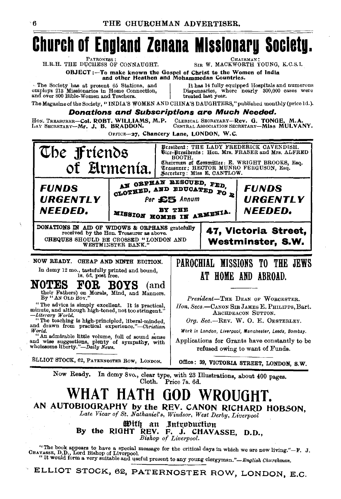

The Society has at present 65 Stations, and employs 213 Missionaries in Home Connection, and over 800 Bible-Women and Teachers.

It has 14 fully equipped Hospitals and numerous Dispensaries, where nearly 300,000 cases were treated last year.

The Magazine of the Society, "INDIA'S WOMEN AND CHINA'S DAUGHTERS," published monthly (price 1d.).

### **Donations and Subscriptions are Much Needed.**

HON. TREASURER-Col. ROBT. WILLIAMS, M.P. CLERICAL SECRETARY-Rev. G. TONGE, M.A CENTRAL ASSOCIATION SECRETARY-MISS MULVANY. LAY SECRETARY-Mr. J. B. BRADDON.

OFFICE-27, Chancery Lane, LONDON, W.C.



Cloth. Price 7s. 6d.

### WHAT HATH GOD WROUGHT

AN AUTOBIOGRAPHY by the REV. CANON RICHARD HOBSON. Late Vicar of St. Nathaniel's, Windsor, West Derby, Liverpool

With an Introduction By the RIGHT REV. F. J. CHAVASSE, D.D., Bishop of Liverpool.

"The book appears to have a special message for the critical days in which we are now living."-F. J. CBAVASSE, D.D., Lord Bishop of Liverpool.<br>"It would form a very suitable and useful present to any young clergyman."-Eng

ELLIOT STOCK, 62, PATERNOSTER ROW, LONDON, E.C.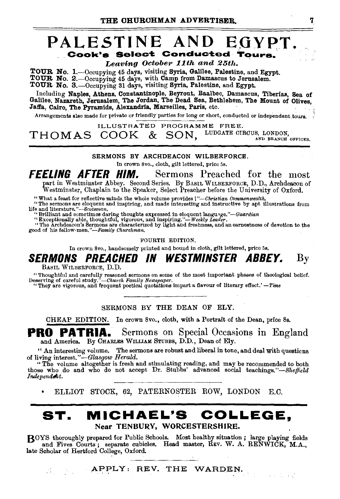### PALESTINE AND EGYPT. Cook's Select Conducted Tour

Leaving October 11th and 25th.

TOUR No. 1.—Occupying 45 days, visiting Syria, Galilee, Palestine, and Egypt. TOUR No. 2.-0ccupying 45 days, with Camp from Damascus to Jerusalem. TOUR No. 3. - Occupying 31 days, visiting Syria, Palestine, and Egypt.

Including Naples, Athens. Constantinople, Beyrout, Baalbec, Damascus, Tiberiaa, Sea of Galilee, Nazareth, Jerusalem, The Jordan, The Dead Sea, Bethlehem, The Mount of Olives, Jaffa, Cairo, The Pyramids, Alexandria, Marseilles, Paris, etc.

Arrangements lilso made for private or friendly parties for long or short, conducted or independent tours.

ILLUSTRATED PROGRAMME FREE.<br>COOLZ & CON LUDGATE CIRCUS, LONDON.  $THOMAS$   $COOK$  &  $SON$ ,  $^{LUDGATE}$   $CIRCUS$ ,  $^{LONDON}$ 

SERMONS BY ARCHDEACON WILBERFORCE.

In crown Svo., cloth, gilt lettered, price 5s.

**FEELING AFTER HIM.** Sermons Preached for the most part in Westminster Abbey. Second Series. By BASIL WILBERFORCE, D.D., Archdeacon of Westminster, Chaplain to the Speaker, Select Preacher before the University of Oxford.

"What a feast for reflective minds the whole volume provides !"-Christian Commonwealth.<br>"The sermons are eloquent and inspiring, and made interesting and instructive by apt illustrations from<br>life and literature."--Scotsma

It and interaction and sometimes daring thoughts expressed in eloquent languige."—Guardian<br>"Exceptionally able, thoughtful, vigorous, and inspiring."—Weekly Leader.<br>"The Archdeacon's Sermons are characterized by light and

FOURTH EDITION.

In crown Svo., handsomely printed and bound in cloth, gilt lettered, price 5s.

**SERMONS PREACHED IN WESTMINSTER ABBEY.** By BASIL WILBERFORCE, D.D.

"Thoughtful and carefully reasoned sermons on some of the most important phases of theological belief.<br>eserving of careful study."—Church Family Newspaper. Deserving of careful study."-Church Family Newspaper.<br>
"They are vigorous, and frequent poetical quotations impart a flavour of literary effect.' -Time

SERMONS BY THE DEAN OF ELY.

CHEAP EDITION. In crown 8vo., cloth, with a Portrait of the Dean, price 8s.

**PRO PATRIA.** Sermons on Special Occasions in England and America. By CHARLES WILLIAM STUBBS, D.D., Dean of Ely.

" An interesting volume. The sermons are robust and liberal in tone, and deal with questicns of living *interest."-Glasgow Herald.* 

"The volnme altogether is fresh and stimulating reading, and may be recommended to both those who do and who do not accept Dr. Stubbs' advanced social teachings."-Sheffield Independent.

ELLIOT STOCK, 62, PATERNOSTER ROW, LONDON E.C.

### **ST. MICHAEL'S COLLEGE,**  Near TENBURY, WORCESTERSHIRE.

BOYS thoroughly prepared for Public Schools. Most healthy situation; large playing fields and Fives Courts; separate cubicles. Head master, REV. W. A. RENWICK, M.A., late Scholar of Hertford College, Oxford.

APPLY: REV. THE WARDEN.